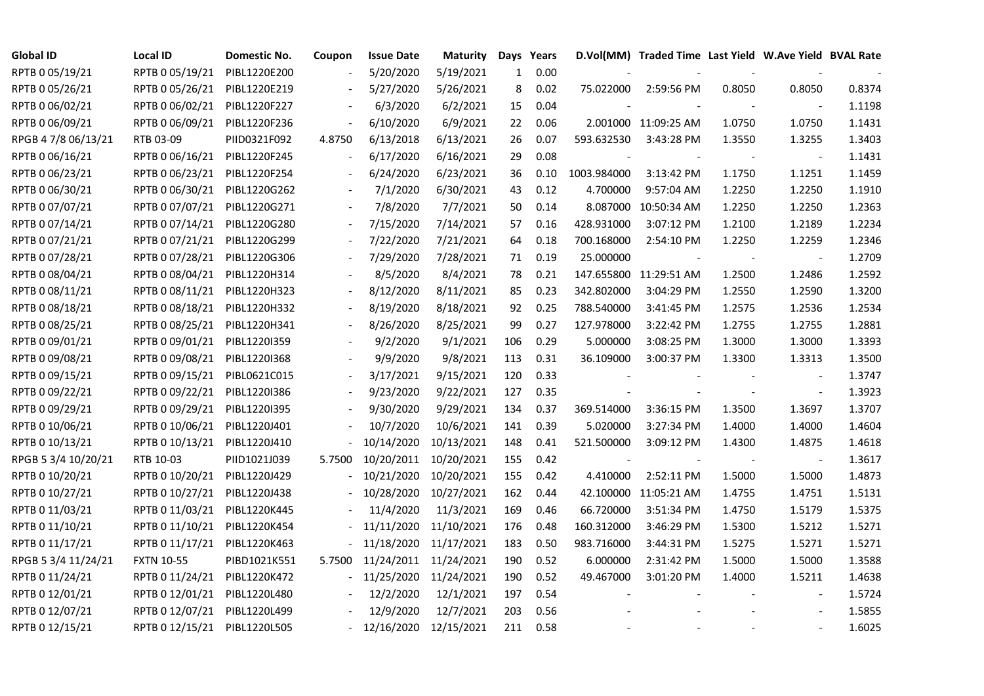| <b>Global ID</b>    | Local ID                     | Domestic No. | Coupon | <b>Issue Date</b> | <b>Maturity</b> |              | Days Years |             | D.Vol(MM) Traded Time Last Yield W.Ave Yield BVAL Rate |        |                |        |
|---------------------|------------------------------|--------------|--------|-------------------|-----------------|--------------|------------|-------------|--------------------------------------------------------|--------|----------------|--------|
| RPTB 0 05/19/21     | RPTB 0 05/19/21              | PIBL1220E200 |        | 5/20/2020         | 5/19/2021       | $\mathbf{1}$ | 0.00       |             |                                                        |        |                |        |
| RPTB 0 05/26/21     | RPTB 0 05/26/21              | PIBL1220E219 |        | 5/27/2020         | 5/26/2021       | 8            | 0.02       | 75.022000   | 2:59:56 PM                                             | 0.8050 | 0.8050         | 0.8374 |
| RPTB 0 06/02/21     | RPTB 0 06/02/21              | PIBL1220F227 |        | 6/3/2020          | 6/2/2021        | 15           | 0.04       |             |                                                        |        |                | 1.1198 |
| RPTB 0 06/09/21     | RPTB 0 06/09/21              | PIBL1220F236 |        | 6/10/2020         | 6/9/2021        | 22           | 0.06       |             | 2.001000 11:09:25 AM                                   | 1.0750 | 1.0750         | 1.1431 |
| RPGB 4 7/8 06/13/21 | RTB 03-09                    | PIID0321F092 | 4.8750 | 6/13/2018         | 6/13/2021       | 26           | 0.07       | 593.632530  | 3:43:28 PM                                             | 1.3550 | 1.3255         | 1.3403 |
| RPTB 0 06/16/21     | RPTB 0 06/16/21              | PIBL1220F245 |        | 6/17/2020         | 6/16/2021       | 29           | 0.08       |             |                                                        |        | $\blacksquare$ | 1.1431 |
| RPTB 0 06/23/21     | RPTB 0 06/23/21              | PIBL1220F254 |        | 6/24/2020         | 6/23/2021       | 36           | 0.10       | 1003.984000 | 3:13:42 PM                                             | 1.1750 | 1.1251         | 1.1459 |
| RPTB 0 06/30/21     | RPTB 0 06/30/21              | PIBL1220G262 |        | 7/1/2020          | 6/30/2021       | 43           | 0.12       | 4.700000    | 9:57:04 AM                                             | 1.2250 | 1.2250         | 1.1910 |
| RPTB 0 07/07/21     | RPTB 0 07/07/21              | PIBL1220G271 |        | 7/8/2020          | 7/7/2021        | 50           | 0.14       | 8.087000    | 10:50:34 AM                                            | 1.2250 | 1.2250         | 1.2363 |
| RPTB 0 07/14/21     | RPTB 0 07/14/21              | PIBL1220G280 |        | 7/15/2020         | 7/14/2021       | 57           | 0.16       | 428.931000  | 3:07:12 PM                                             | 1.2100 | 1.2189         | 1.2234 |
| RPTB 0 07/21/21     | RPTB 0 07/21/21              | PIBL1220G299 |        | 7/22/2020         | 7/21/2021       | 64           | 0.18       | 700.168000  | 2:54:10 PM                                             | 1.2250 | 1.2259         | 1.2346 |
| RPTB 0 07/28/21     | RPTB 0 07/28/21              | PIBL1220G306 |        | 7/29/2020         | 7/28/2021       | 71           | 0.19       | 25.000000   |                                                        |        |                | 1.2709 |
| RPTB 0 08/04/21     | RPTB 0 08/04/21              | PIBL1220H314 |        | 8/5/2020          | 8/4/2021        | 78           | 0.21       | 147.655800  | 11:29:51 AM                                            | 1.2500 | 1.2486         | 1.2592 |
| RPTB 0 08/11/21     | RPTB 0 08/11/21              | PIBL1220H323 |        | 8/12/2020         | 8/11/2021       | 85           | 0.23       | 342.802000  | 3:04:29 PM                                             | 1.2550 | 1.2590         | 1.3200 |
| RPTB 0 08/18/21     | RPTB 0 08/18/21              | PIBL1220H332 |        | 8/19/2020         | 8/18/2021       | 92           | 0.25       | 788.540000  | 3:41:45 PM                                             | 1.2575 | 1.2536         | 1.2534 |
| RPTB 0 08/25/21     | RPTB 0 08/25/21              | PIBL1220H341 |        | 8/26/2020         | 8/25/2021       | 99           | 0.27       | 127.978000  | 3:22:42 PM                                             | 1.2755 | 1.2755         | 1.2881 |
| RPTB 0 09/01/21     | RPTB 0 09/01/21              | PIBL1220I359 |        | 9/2/2020          | 9/1/2021        | 106          | 0.29       | 5.000000    | 3:08:25 PM                                             | 1.3000 | 1.3000         | 1.3393 |
| RPTB 0 09/08/21     | RPTB 0 09/08/21              | PIBL1220I368 |        | 9/9/2020          | 9/8/2021        | 113          | 0.31       | 36.109000   | 3:00:37 PM                                             | 1.3300 | 1.3313         | 1.3500 |
| RPTB 0 09/15/21     | RPTB 0 09/15/21              | PIBL0621C015 |        | 3/17/2021         | 9/15/2021       | 120          | 0.33       |             |                                                        |        |                | 1.3747 |
| RPTB 0 09/22/21     | RPTB 0 09/22/21              | PIBL1220I386 |        | 9/23/2020         | 9/22/2021       | 127          | 0.35       |             |                                                        |        | $\blacksquare$ | 1.3923 |
| RPTB 0 09/29/21     | RPTB 0 09/29/21              | PIBL1220I395 |        | 9/30/2020         | 9/29/2021       | 134          | 0.37       | 369.514000  | 3:36:15 PM                                             | 1.3500 | 1.3697         | 1.3707 |
| RPTB 0 10/06/21     | RPTB 0 10/06/21              | PIBL1220J401 |        | 10/7/2020         | 10/6/2021       | 141          | 0.39       | 5.020000    | 3:27:34 PM                                             | 1.4000 | 1.4000         | 1.4604 |
| RPTB 0 10/13/21     | RPTB 0 10/13/21              | PIBL1220J410 |        | 10/14/2020        | 10/13/2021      | 148          | 0.41       | 521.500000  | 3:09:12 PM                                             | 1.4300 | 1.4875         | 1.4618 |
| RPGB 5 3/4 10/20/21 | RTB 10-03                    | PIID1021J039 | 5.7500 | 10/20/2011        | 10/20/2021      | 155          | 0.42       |             |                                                        |        |                | 1.3617 |
| RPTB 0 10/20/21     | RPTB 0 10/20/21              | PIBL1220J429 |        | 10/21/2020        | 10/20/2021      | 155          | 0.42       | 4.410000    | 2:52:11 PM                                             | 1.5000 | 1.5000         | 1.4873 |
| RPTB 0 10/27/21     | RPTB 0 10/27/21              | PIBL1220J438 |        | 10/28/2020        | 10/27/2021      | 162          | 0.44       | 42.100000   | 11:05:21 AM                                            | 1.4755 | 1.4751         | 1.5131 |
| RPTB 0 11/03/21     | RPTB 0 11/03/21              | PIBL1220K445 |        | 11/4/2020         | 11/3/2021       | 169          | 0.46       | 66.720000   | 3:51:34 PM                                             | 1.4750 | 1.5179         | 1.5375 |
| RPTB 0 11/10/21     | RPTB 0 11/10/21              | PIBL1220K454 |        | 11/11/2020        | 11/10/2021      | 176          | 0.48       | 160.312000  | 3:46:29 PM                                             | 1.5300 | 1.5212         | 1.5271 |
| RPTB 0 11/17/21     | RPTB 0 11/17/21              | PIBL1220K463 |        | 11/18/2020        | 11/17/2021      | 183          | 0.50       | 983.716000  | 3:44:31 PM                                             | 1.5275 | 1.5271         | 1.5271 |
| RPGB 5 3/4 11/24/21 | <b>FXTN 10-55</b>            | PIBD1021K551 | 5.7500 | 11/24/2011        | 11/24/2021      | 190          | 0.52       | 6.000000    | 2:31:42 PM                                             | 1.5000 | 1.5000         | 1.3588 |
| RPTB 0 11/24/21     | RPTB 0 11/24/21              | PIBL1220K472 |        | 11/25/2020        | 11/24/2021      | 190          | 0.52       | 49.467000   | 3:01:20 PM                                             | 1.4000 | 1.5211         | 1.4638 |
| RPTB 0 12/01/21     | RPTB 0 12/01/21              | PIBL1220L480 |        | 12/2/2020         | 12/1/2021       | 197          | 0.54       |             |                                                        |        | $\blacksquare$ | 1.5724 |
| RPTB 0 12/07/21     | RPTB 0 12/07/21              | PIBL1220L499 |        | 12/9/2020         | 12/7/2021       | 203          | 0.56       |             |                                                        |        |                | 1.5855 |
| RPTB 0 12/15/21     | RPTB 0 12/15/21 PIBL1220L505 |              |        | 12/16/2020        | 12/15/2021      | 211          | 0.58       |             |                                                        |        |                | 1.6025 |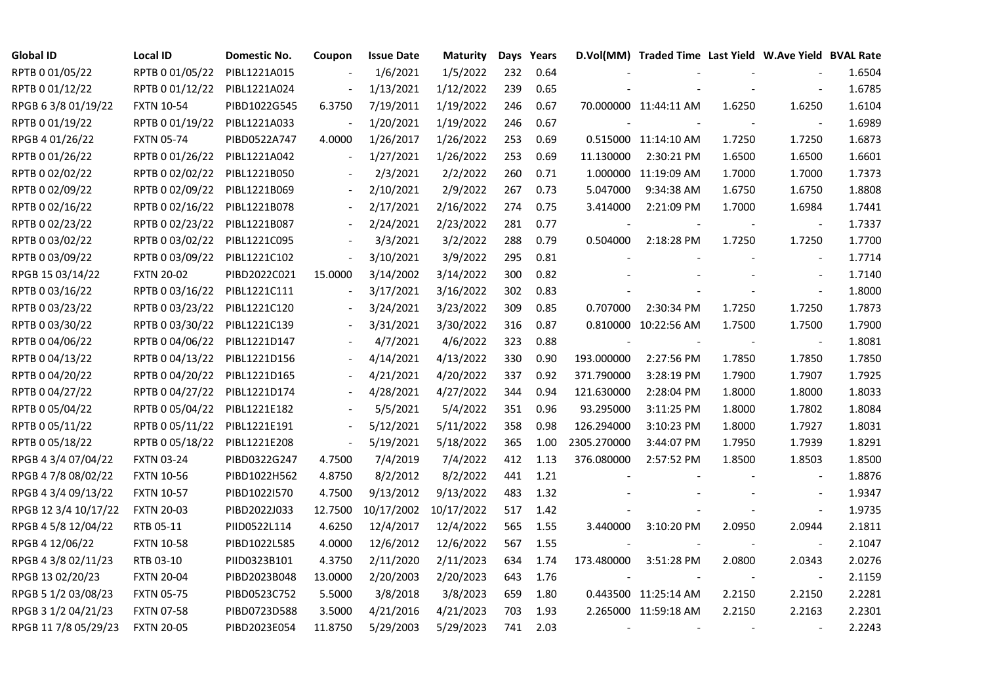| <b>Global ID</b>     | <b>Local ID</b>   | Domestic No. | Coupon                       | <b>Issue Date</b> | <b>Maturity</b> |     | Days Years |             | D.Vol(MM) Traded Time Last Yield W.Ave Yield BVAL Rate |        |                          |        |
|----------------------|-------------------|--------------|------------------------------|-------------------|-----------------|-----|------------|-------------|--------------------------------------------------------|--------|--------------------------|--------|
| RPTB 0 01/05/22      | RPTB 0 01/05/22   | PIBL1221A015 |                              | 1/6/2021          | 1/5/2022        | 232 | 0.64       |             |                                                        |        |                          | 1.6504 |
| RPTB 0 01/12/22      | RPTB 0 01/12/22   | PIBL1221A024 |                              | 1/13/2021         | 1/12/2022       | 239 | 0.65       |             |                                                        |        |                          | 1.6785 |
| RPGB 63/8 01/19/22   | <b>FXTN 10-54</b> | PIBD1022G545 | 6.3750                       | 7/19/2011         | 1/19/2022       | 246 | 0.67       |             | 70.000000 11:44:11 AM                                  | 1.6250 | 1.6250                   | 1.6104 |
| RPTB 0 01/19/22      | RPTB 0 01/19/22   | PIBL1221A033 |                              | 1/20/2021         | 1/19/2022       | 246 | 0.67       |             |                                                        |        |                          | 1.6989 |
| RPGB 4 01/26/22      | <b>FXTN 05-74</b> | PIBD0522A747 | 4.0000                       | 1/26/2017         | 1/26/2022       | 253 | 0.69       |             | 0.515000 11:14:10 AM                                   | 1.7250 | 1.7250                   | 1.6873 |
| RPTB 0 01/26/22      | RPTB 0 01/26/22   | PIBL1221A042 | $\blacksquare$               | 1/27/2021         | 1/26/2022       | 253 | 0.69       | 11.130000   | 2:30:21 PM                                             | 1.6500 | 1.6500                   | 1.6601 |
| RPTB 0 02/02/22      | RPTB 0 02/02/22   | PIBL1221B050 |                              | 2/3/2021          | 2/2/2022        | 260 | 0.71       |             | 1.000000 11:19:09 AM                                   | 1.7000 | 1.7000                   | 1.7373 |
| RPTB 0 02/09/22      | RPTB 0 02/09/22   | PIBL1221B069 |                              | 2/10/2021         | 2/9/2022        | 267 | 0.73       | 5.047000    | 9:34:38 AM                                             | 1.6750 | 1.6750                   | 1.8808 |
| RPTB 0 02/16/22      | RPTB 0 02/16/22   | PIBL1221B078 |                              | 2/17/2021         | 2/16/2022       | 274 | 0.75       | 3.414000    | 2:21:09 PM                                             | 1.7000 | 1.6984                   | 1.7441 |
| RPTB 0 02/23/22      | RPTB 0 02/23/22   | PIBL1221B087 |                              | 2/24/2021         | 2/23/2022       | 281 | 0.77       |             |                                                        |        |                          | 1.7337 |
| RPTB 0 03/02/22      | RPTB 0 03/02/22   | PIBL1221C095 | $\frac{1}{2}$                | 3/3/2021          | 3/2/2022        | 288 | 0.79       | 0.504000    | 2:18:28 PM                                             | 1.7250 | 1.7250                   | 1.7700 |
| RPTB 0 03/09/22      | RPTB 0 03/09/22   | PIBL1221C102 | $\overline{\phantom{a}}$     | 3/10/2021         | 3/9/2022        | 295 | 0.81       |             |                                                        |        | $\blacksquare$           | 1.7714 |
| RPGB 15 03/14/22     | <b>FXTN 20-02</b> | PIBD2022C021 | 15.0000                      | 3/14/2002         | 3/14/2022       | 300 | 0.82       |             |                                                        |        | $\blacksquare$           | 1.7140 |
| RPTB 0 03/16/22      | RPTB 0 03/16/22   | PIBL1221C111 | $\blacksquare$               | 3/17/2021         | 3/16/2022       | 302 | 0.83       |             |                                                        |        | $\omega$                 | 1.8000 |
| RPTB 0 03/23/22      | RPTB 0 03/23/22   | PIBL1221C120 |                              | 3/24/2021         | 3/23/2022       | 309 | 0.85       | 0.707000    | 2:30:34 PM                                             | 1.7250 | 1.7250                   | 1.7873 |
| RPTB 0 03/30/22      | RPTB 0 03/30/22   | PIBL1221C139 |                              | 3/31/2021         | 3/30/2022       | 316 | 0.87       |             | 0.810000 10:22:56 AM                                   | 1.7500 | 1.7500                   | 1.7900 |
| RPTB 0 04/06/22      | RPTB 0 04/06/22   | PIBL1221D147 |                              | 4/7/2021          | 4/6/2022        | 323 | 0.88       |             |                                                        |        | $\overline{\phantom{a}}$ | 1.8081 |
| RPTB 0 04/13/22      | RPTB 0 04/13/22   | PIBL1221D156 | $\blacksquare$               | 4/14/2021         | 4/13/2022       | 330 | 0.90       | 193.000000  | 2:27:56 PM                                             | 1.7850 | 1.7850                   | 1.7850 |
| RPTB 0 04/20/22      | RPTB 0 04/20/22   | PIBL1221D165 | $\blacksquare$               | 4/21/2021         | 4/20/2022       | 337 | 0.92       | 371.790000  | 3:28:19 PM                                             | 1.7900 | 1.7907                   | 1.7925 |
| RPTB 0 04/27/22      | RPTB 0 04/27/22   | PIBL1221D174 |                              | 4/28/2021         | 4/27/2022       | 344 | 0.94       | 121.630000  | 2:28:04 PM                                             | 1.8000 | 1.8000                   | 1.8033 |
| RPTB 0 05/04/22      | RPTB 0 05/04/22   | PIBL1221E182 |                              | 5/5/2021          | 5/4/2022        | 351 | 0.96       | 93.295000   | 3:11:25 PM                                             | 1.8000 | 1.7802                   | 1.8084 |
| RPTB 0 05/11/22      | RPTB 0 05/11/22   | PIBL1221E191 | $\blacksquare$               | 5/12/2021         | 5/11/2022       | 358 | 0.98       | 126.294000  | 3:10:23 PM                                             | 1.8000 | 1.7927                   | 1.8031 |
| RPTB 0 05/18/22      | RPTB 0 05/18/22   | PIBL1221E208 | $\qquad \qquad \blacksquare$ | 5/19/2021         | 5/18/2022       | 365 | 1.00       | 2305.270000 | 3:44:07 PM                                             | 1.7950 | 1.7939                   | 1.8291 |
| RPGB 4 3/4 07/04/22  | <b>FXTN 03-24</b> | PIBD0322G247 | 4.7500                       | 7/4/2019          | 7/4/2022        | 412 | 1.13       | 376.080000  | 2:57:52 PM                                             | 1.8500 | 1.8503                   | 1.8500 |
| RPGB 4 7/8 08/02/22  | <b>FXTN 10-56</b> | PIBD1022H562 | 4.8750                       | 8/2/2012          | 8/2/2022        | 441 | 1.21       |             |                                                        |        | $\overline{\phantom{a}}$ | 1.8876 |
| RPGB 4 3/4 09/13/22  | <b>FXTN 10-57</b> | PIBD1022I570 | 4.7500                       | 9/13/2012         | 9/13/2022       | 483 | 1.32       |             |                                                        |        |                          | 1.9347 |
| RPGB 12 3/4 10/17/22 | <b>FXTN 20-03</b> | PIBD2022J033 | 12.7500                      | 10/17/2002        | 10/17/2022      | 517 | 1.42       |             |                                                        |        | $\blacksquare$           | 1.9735 |
| RPGB 4 5/8 12/04/22  | RTB 05-11         | PIID0522L114 | 4.6250                       | 12/4/2017         | 12/4/2022       | 565 | 1.55       | 3.440000    | 3:10:20 PM                                             | 2.0950 | 2.0944                   | 2.1811 |
| RPGB 4 12/06/22      | <b>FXTN 10-58</b> | PIBD1022L585 | 4.0000                       | 12/6/2012         | 12/6/2022       | 567 | 1.55       |             |                                                        |        | $\blacksquare$           | 2.1047 |
| RPGB 4 3/8 02/11/23  | RTB 03-10         | PIID0323B101 | 4.3750                       | 2/11/2020         | 2/11/2023       | 634 | 1.74       | 173.480000  | 3:51:28 PM                                             | 2.0800 | 2.0343                   | 2.0276 |
| RPGB 13 02/20/23     | <b>FXTN 20-04</b> | PIBD2023B048 | 13.0000                      | 2/20/2003         | 2/20/2023       | 643 | 1.76       |             |                                                        |        | $\blacksquare$           | 2.1159 |
| RPGB 5 1/2 03/08/23  | <b>FXTN 05-75</b> | PIBD0523C752 | 5.5000                       | 3/8/2018          | 3/8/2023        | 659 | 1.80       |             | 0.443500 11:25:14 AM                                   | 2.2150 | 2.2150                   | 2.2281 |
| RPGB 3 1/2 04/21/23  | <b>FXTN 07-58</b> | PIBD0723D588 | 3.5000                       | 4/21/2016         | 4/21/2023       | 703 | 1.93       |             | 2.265000 11:59:18 AM                                   | 2.2150 | 2.2163                   | 2.2301 |
| RPGB 11 7/8 05/29/23 | <b>FXTN 20-05</b> | PIBD2023E054 | 11.8750                      | 5/29/2003         | 5/29/2023       | 741 | 2.03       |             |                                                        |        |                          | 2.2243 |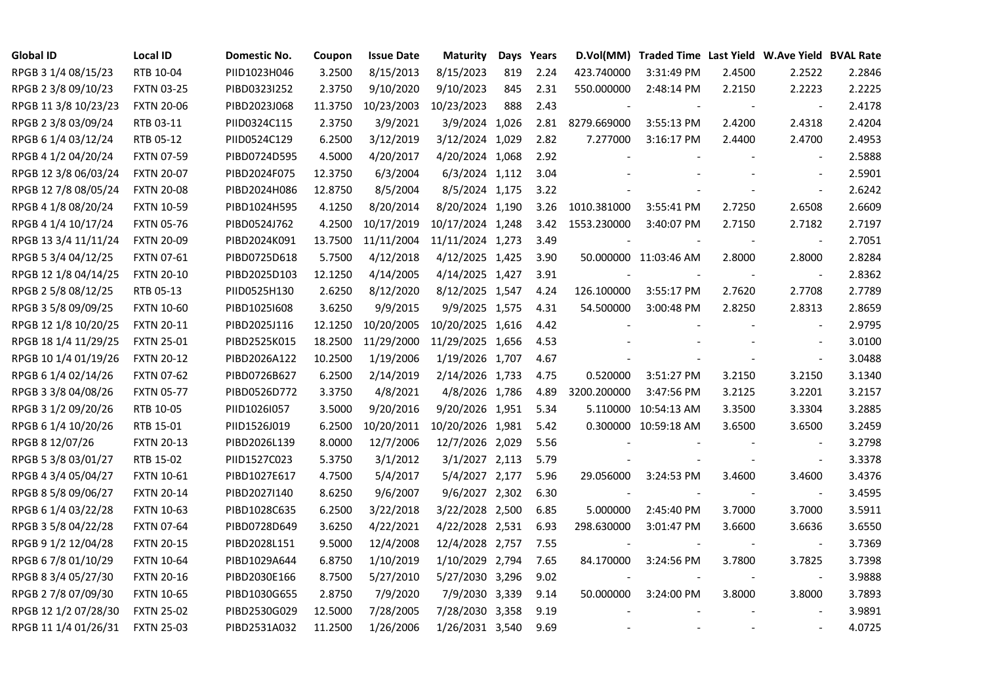| <b>Global ID</b>     | <b>Local ID</b>   | Domestic No. | Coupon  | <b>Issue Date</b> | <b>Maturity</b>  |     | Days Years |             | D.Vol(MM) Traded Time Last Yield W.Ave Yield BVAL Rate |        |                          |        |
|----------------------|-------------------|--------------|---------|-------------------|------------------|-----|------------|-------------|--------------------------------------------------------|--------|--------------------------|--------|
| RPGB 3 1/4 08/15/23  | RTB 10-04         | PIID1023H046 | 3.2500  | 8/15/2013         | 8/15/2023        | 819 | 2.24       | 423.740000  | 3:31:49 PM                                             | 2.4500 | 2.2522                   | 2.2846 |
| RPGB 2 3/8 09/10/23  | <b>FXTN 03-25</b> | PIBD0323I252 | 2.3750  | 9/10/2020         | 9/10/2023        | 845 | 2.31       | 550.000000  | 2:48:14 PM                                             | 2.2150 | 2.2223                   | 2.2225 |
| RPGB 11 3/8 10/23/23 | <b>FXTN 20-06</b> | PIBD2023J068 | 11.3750 | 10/23/2003        | 10/23/2023       | 888 | 2.43       |             |                                                        |        |                          | 2.4178 |
| RPGB 2 3/8 03/09/24  | RTB 03-11         | PIID0324C115 | 2.3750  | 3/9/2021          | 3/9/2024 1,026   |     | 2.81       | 8279.669000 | 3:55:13 PM                                             | 2.4200 | 2.4318                   | 2.4204 |
| RPGB 6 1/4 03/12/24  | RTB 05-12         | PIID0524C129 | 6.2500  | 3/12/2019         | 3/12/2024 1,029  |     | 2.82       | 7.277000    | 3:16:17 PM                                             | 2.4400 | 2.4700                   | 2.4953 |
| RPGB 4 1/2 04/20/24  | <b>FXTN 07-59</b> | PIBD0724D595 | 4.5000  | 4/20/2017         | 4/20/2024 1,068  |     | 2.92       |             |                                                        |        | $\sim$                   | 2.5888 |
| RPGB 12 3/8 06/03/24 | <b>FXTN 20-07</b> | PIBD2024F075 | 12.3750 | 6/3/2004          | 6/3/2024 1,112   |     | 3.04       |             |                                                        |        | $\overline{\phantom{a}}$ | 2.5901 |
| RPGB 12 7/8 08/05/24 | <b>FXTN 20-08</b> | PIBD2024H086 | 12.8750 | 8/5/2004          | 8/5/2024 1,175   |     | 3.22       |             |                                                        |        | $\blacksquare$           | 2.6242 |
| RPGB 4 1/8 08/20/24  | <b>FXTN 10-59</b> | PIBD1024H595 | 4.1250  | 8/20/2014         | 8/20/2024 1,190  |     | 3.26       | 1010.381000 | 3:55:41 PM                                             | 2.7250 | 2.6508                   | 2.6609 |
| RPGB 4 1/4 10/17/24  | <b>FXTN 05-76</b> | PIBD0524J762 | 4.2500  | 10/17/2019        | 10/17/2024 1,248 |     | 3.42       | 1553.230000 | 3:40:07 PM                                             | 2.7150 | 2.7182                   | 2.7197 |
| RPGB 13 3/4 11/11/24 | <b>FXTN 20-09</b> | PIBD2024K091 | 13.7500 | 11/11/2004        | 11/11/2024 1,273 |     | 3.49       |             |                                                        | $\sim$ | $\overline{\phantom{a}}$ | 2.7051 |
| RPGB 5 3/4 04/12/25  | <b>FXTN 07-61</b> | PIBD0725D618 | 5.7500  | 4/12/2018         | 4/12/2025 1,425  |     | 3.90       |             | 50.000000 11:03:46 AM                                  | 2.8000 | 2.8000                   | 2.8284 |
| RPGB 12 1/8 04/14/25 | <b>FXTN 20-10</b> | PIBD2025D103 | 12.1250 | 4/14/2005         | 4/14/2025 1,427  |     | 3.91       |             |                                                        |        | $\overline{\phantom{a}}$ | 2.8362 |
| RPGB 2 5/8 08/12/25  | RTB 05-13         | PIID0525H130 | 2.6250  | 8/12/2020         | 8/12/2025 1,547  |     | 4.24       | 126.100000  | 3:55:17 PM                                             | 2.7620 | 2.7708                   | 2.7789 |
| RPGB 3 5/8 09/09/25  | <b>FXTN 10-60</b> | PIBD10251608 | 3.6250  | 9/9/2015          | 9/9/2025 1,575   |     | 4.31       | 54.500000   | 3:00:48 PM                                             | 2.8250 | 2.8313                   | 2.8659 |
| RPGB 12 1/8 10/20/25 | <b>FXTN 20-11</b> | PIBD2025J116 | 12.1250 | 10/20/2005        | 10/20/2025 1,616 |     | 4.42       |             |                                                        |        | $\sim$                   | 2.9795 |
| RPGB 18 1/4 11/29/25 | <b>FXTN 25-01</b> | PIBD2525K015 | 18.2500 | 11/29/2000        | 11/29/2025 1,656 |     | 4.53       |             |                                                        |        | $\sim$                   | 3.0100 |
| RPGB 10 1/4 01/19/26 | <b>FXTN 20-12</b> | PIBD2026A122 | 10.2500 | 1/19/2006         | 1/19/2026 1,707  |     | 4.67       |             |                                                        |        | $\sim$                   | 3.0488 |
| RPGB 6 1/4 02/14/26  | <b>FXTN 07-62</b> | PIBD0726B627 | 6.2500  | 2/14/2019         | 2/14/2026 1,733  |     | 4.75       | 0.520000    | 3:51:27 PM                                             | 3.2150 | 3.2150                   | 3.1340 |
| RPGB 3 3/8 04/08/26  | <b>FXTN 05-77</b> | PIBD0526D772 | 3.3750  | 4/8/2021          | 4/8/2026 1,786   |     | 4.89       | 3200.200000 | 3:47:56 PM                                             | 3.2125 | 3.2201                   | 3.2157 |
| RPGB 3 1/2 09/20/26  | RTB 10-05         | PIID1026I057 | 3.5000  | 9/20/2016         | 9/20/2026 1,951  |     | 5.34       | 5.110000    | 10:54:13 AM                                            | 3.3500 | 3.3304                   | 3.2885 |
| RPGB 6 1/4 10/20/26  | RTB 15-01         | PIID1526J019 | 6.2500  | 10/20/2011        | 10/20/2026 1,981 |     | 5.42       |             | 0.300000 10:59:18 AM                                   | 3.6500 | 3.6500                   | 3.2459 |
| RPGB 8 12/07/26      | <b>FXTN 20-13</b> | PIBD2026L139 | 8.0000  | 12/7/2006         | 12/7/2026 2,029  |     | 5.56       |             |                                                        |        |                          | 3.2798 |
| RPGB 5 3/8 03/01/27  | RTB 15-02         | PIID1527C023 | 5.3750  | 3/1/2012          | 3/1/2027 2,113   |     | 5.79       |             |                                                        |        | $\blacksquare$           | 3.3378 |
| RPGB 4 3/4 05/04/27  | <b>FXTN 10-61</b> | PIBD1027E617 | 4.7500  | 5/4/2017          | 5/4/2027 2,177   |     | 5.96       | 29.056000   | 3:24:53 PM                                             | 3.4600 | 3.4600                   | 3.4376 |
| RPGB 8 5/8 09/06/27  | <b>FXTN 20-14</b> | PIBD2027I140 | 8.6250  | 9/6/2007          | 9/6/2027 2,302   |     | 6.30       |             |                                                        |        | $\overline{\phantom{a}}$ | 3.4595 |
| RPGB 6 1/4 03/22/28  | <b>FXTN 10-63</b> | PIBD1028C635 | 6.2500  | 3/22/2018         | 3/22/2028 2,500  |     | 6.85       | 5.000000    | 2:45:40 PM                                             | 3.7000 | 3.7000                   | 3.5911 |
| RPGB 3 5/8 04/22/28  | <b>FXTN 07-64</b> | PIBD0728D649 | 3.6250  | 4/22/2021         | 4/22/2028 2,531  |     | 6.93       | 298.630000  | 3:01:47 PM                                             | 3.6600 | 3.6636                   | 3.6550 |
| RPGB 9 1/2 12/04/28  | <b>FXTN 20-15</b> | PIBD2028L151 | 9.5000  | 12/4/2008         | 12/4/2028 2,757  |     | 7.55       |             |                                                        |        | $\blacksquare$           | 3.7369 |
| RPGB 67/8 01/10/29   | <b>FXTN 10-64</b> | PIBD1029A644 | 6.8750  | 1/10/2019         | 1/10/2029 2,794  |     | 7.65       | 84.170000   | 3:24:56 PM                                             | 3.7800 | 3.7825                   | 3.7398 |
| RPGB 8 3/4 05/27/30  | <b>FXTN 20-16</b> | PIBD2030E166 | 8.7500  | 5/27/2010         | 5/27/2030 3,296  |     | 9.02       |             |                                                        |        | $\blacksquare$           | 3.9888 |
| RPGB 2 7/8 07/09/30  | <b>FXTN 10-65</b> | PIBD1030G655 | 2.8750  | 7/9/2020          | 7/9/2030 3,339   |     | 9.14       | 50.000000   | 3:24:00 PM                                             | 3.8000 | 3.8000                   | 3.7893 |
| RPGB 12 1/2 07/28/30 | <b>FXTN 25-02</b> | PIBD2530G029 | 12.5000 | 7/28/2005         | 7/28/2030 3,358  |     | 9.19       |             |                                                        |        | $\sim$                   | 3.9891 |
| RPGB 11 1/4 01/26/31 | <b>FXTN 25-03</b> | PIBD2531A032 | 11.2500 | 1/26/2006         | 1/26/2031 3,540  |     | 9.69       |             |                                                        |        | $\sim$                   | 4.0725 |